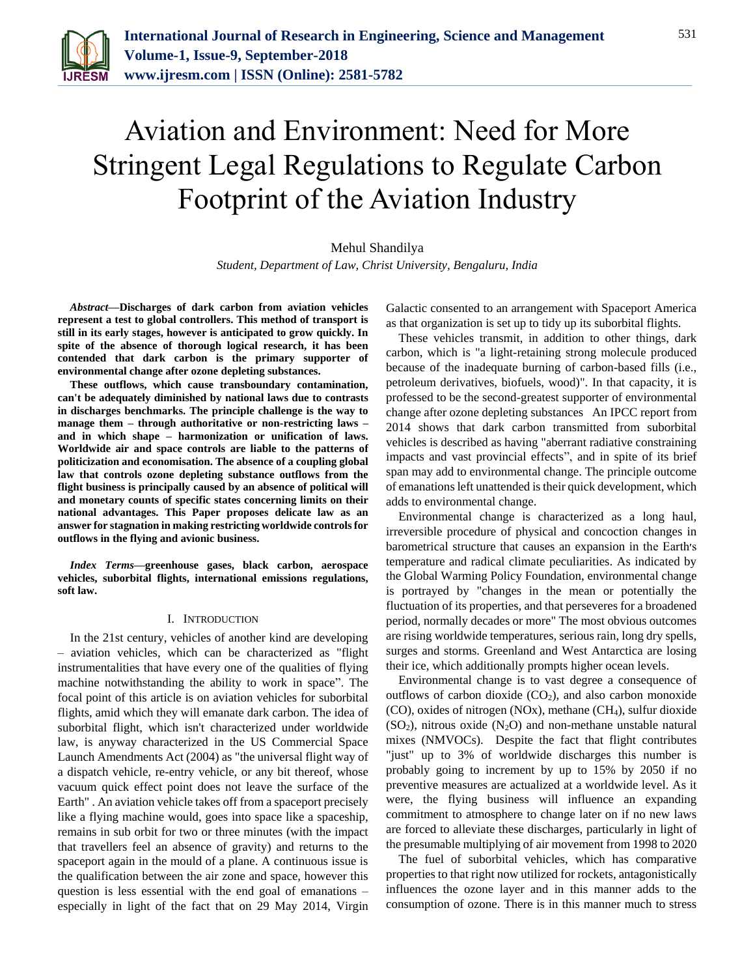

# Aviation and Environment: Need for More Stringent Legal Regulations to Regulate Carbon Footprint of the Aviation Industry

### Mehul Shandilya

*Student, Department of Law, Christ University, Bengaluru, India*

*Abstract***—Discharges of dark carbon from aviation vehicles represent a test to global controllers. This method of transport is still in its early stages, however is anticipated to grow quickly. In spite of the absence of thorough logical research, it has been contended that dark carbon is the primary supporter of environmental change after ozone depleting substances.** 

**These outflows, which cause transboundary contamination, can't be adequately diminished by national laws due to contrasts in discharges benchmarks. The principle challenge is the way to manage them – through authoritative or non-restricting laws – and in which shape – harmonization or unification of laws. Worldwide air and space controls are liable to the patterns of politicization and economisation. The absence of a coupling global law that controls ozone depleting substance outflows from the flight business is principally caused by an absence of political will and monetary counts of specific states concerning limits on their national advantages. This Paper proposes delicate law as an answer for stagnation in making restricting worldwide controls for outflows in the flying and avionic business.**

*Index Terms***—greenhouse gases, black carbon, aerospace vehicles, suborbital flights, international emissions regulations, soft law.** 

#### I. INTRODUCTION

In the 21st century, vehicles of another kind are developing – aviation vehicles, which can be characterized as "flight instrumentalities that have every one of the qualities of flying machine notwithstanding the ability to work in space". The focal point of this article is on aviation vehicles for suborbital flights, amid which they will emanate dark carbon. The idea of suborbital flight, which isn't characterized under worldwide law, is anyway characterized in the US Commercial Space Launch Amendments Act (2004) as "the universal flight way of a dispatch vehicle, re-entry vehicle, or any bit thereof, whose vacuum quick effect point does not leave the surface of the Earth" . An aviation vehicle takes off from a spaceport precisely like a flying machine would, goes into space like a spaceship, remains in sub orbit for two or three minutes (with the impact that travellers feel an absence of gravity) and returns to the spaceport again in the mould of a plane. A continuous issue is the qualification between the air zone and space, however this question is less essential with the end goal of emanations – especially in light of the fact that on 29 May 2014, Virgin Galactic consented to an arrangement with Spaceport America as that organization is set up to tidy up its suborbital flights.

These vehicles transmit, in addition to other things, dark carbon, which is "a light-retaining strong molecule produced because of the inadequate burning of carbon-based fills (i.e., petroleum derivatives, biofuels, wood)". In that capacity, it is professed to be the second-greatest supporter of environmental change after ozone depleting substances An IPCC report from 2014 shows that dark carbon transmitted from suborbital vehicles is described as having "aberrant radiative constraining impacts and vast provincial effects", and in spite of its brief span may add to environmental change. The principle outcome of emanations left unattended is their quick development, which adds to environmental change.

Environmental change is characterized as a long haul, irreversible procedure of physical and concoction changes in barometrical structure that causes an expansion in the Earth׳s temperature and radical climate peculiarities. As indicated by the Global Warming Policy Foundation, environmental change is portrayed by "changes in the mean or potentially the fluctuation of its properties, and that perseveres for a broadened period, normally decades or more" The most obvious outcomes are rising worldwide temperatures, serious rain, long dry spells, surges and storms. Greenland and West Antarctica are losing their ice, which additionally prompts higher ocean levels.

Environmental change is to vast degree a consequence of outflows of carbon dioxide  $(CO_2)$ , and also carbon monoxide (CO), oxides of nitrogen (NOx), methane (CH4), sulfur dioxide  $(SO<sub>2</sub>)$ , nitrous oxide  $(N<sub>2</sub>O)$  and non-methane unstable natural mixes (NMVOCs). Despite the fact that flight contributes "just" up to 3% of worldwide discharges this number is probably going to increment by up to 15% by 2050 if no preventive measures are actualized at a worldwide level. As it were, the flying business will influence an expanding commitment to atmosphere to change later on if no new laws are forced to alleviate these discharges, particularly in light of the presumable multiplying of air movement from 1998 to 2020

The fuel of suborbital vehicles, which has comparative properties to that right now utilized for rockets, antagonistically influences the ozone layer and in this manner adds to the consumption of ozone. There is in this manner much to stress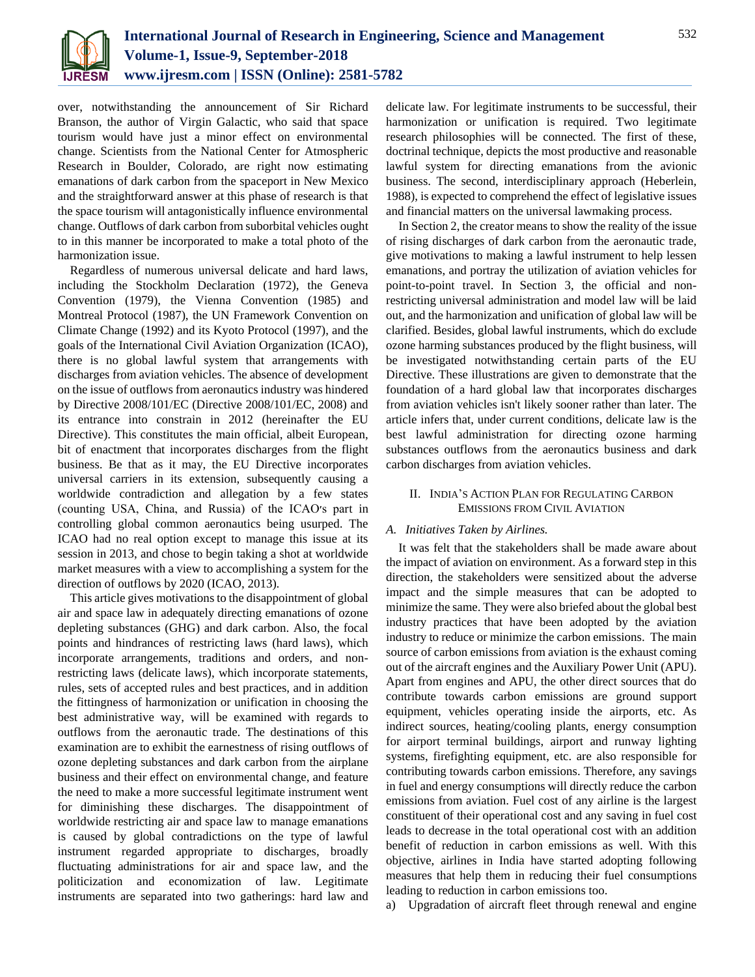

over, notwithstanding the announcement of Sir Richard Branson, the author of Virgin Galactic, who said that space tourism would have just a minor effect on environmental change. Scientists from the National Center for Atmospheric Research in Boulder, Colorado, are right now estimating emanations of dark carbon from the spaceport in New Mexico and the straightforward answer at this phase of research is that the space tourism will antagonistically influence environmental change. Outflows of dark carbon from suborbital vehicles ought to in this manner be incorporated to make a total photo of the harmonization issue.

Regardless of numerous universal delicate and hard laws, including the Stockholm Declaration (1972), the Geneva Convention (1979), the Vienna Convention (1985) and Montreal Protocol (1987), the UN Framework Convention on Climate Change (1992) and its Kyoto Protocol (1997), and the goals of the International Civil Aviation Organization (ICAO), there is no global lawful system that arrangements with discharges from aviation vehicles. The absence of development on the issue of outflows from aeronautics industry was hindered by Directive 2008/101/EC (Directive 2008/101/EC, 2008) and its entrance into constrain in 2012 (hereinafter the EU Directive). This constitutes the main official, albeit European, bit of enactment that incorporates discharges from the flight business. Be that as it may, the EU Directive incorporates universal carriers in its extension, subsequently causing a worldwide contradiction and allegation by a few states (counting USA, China, and Russia) of the ICAO׳s part in controlling global common aeronautics being usurped. The ICAO had no real option except to manage this issue at its session in 2013, and chose to begin taking a shot at worldwide market measures with a view to accomplishing a system for the direction of outflows by 2020 (ICAO, 2013).

This article gives motivations to the disappointment of global air and space law in adequately directing emanations of ozone depleting substances (GHG) and dark carbon. Also, the focal points and hindrances of restricting laws (hard laws), which incorporate arrangements, traditions and orders, and nonrestricting laws (delicate laws), which incorporate statements, rules, sets of accepted rules and best practices, and in addition the fittingness of harmonization or unification in choosing the best administrative way, will be examined with regards to outflows from the aeronautic trade. The destinations of this examination are to exhibit the earnestness of rising outflows of ozone depleting substances and dark carbon from the airplane business and their effect on environmental change, and feature the need to make a more successful legitimate instrument went for diminishing these discharges. The disappointment of worldwide restricting air and space law to manage emanations is caused by global contradictions on the type of lawful instrument regarded appropriate to discharges, broadly fluctuating administrations for air and space law, and the politicization and economization of law. Legitimate instruments are separated into two gatherings: hard law and delicate law. For legitimate instruments to be successful, their harmonization or unification is required. Two legitimate research philosophies will be connected. The first of these, doctrinal technique, depicts the most productive and reasonable lawful system for directing emanations from the avionic business. The second, interdisciplinary approach (Heberlein, 1988), is expected to comprehend the effect of legislative issues and financial matters on the universal lawmaking process.

In Section 2, the creator means to show the reality of the issue of rising discharges of dark carbon from the aeronautic trade, give motivations to making a lawful instrument to help lessen emanations, and portray the utilization of aviation vehicles for point-to-point travel. In Section 3, the official and nonrestricting universal administration and model law will be laid out, and the harmonization and unification of global law will be clarified. Besides, global lawful instruments, which do exclude ozone harming substances produced by the flight business, will be investigated notwithstanding certain parts of the EU Directive. These illustrations are given to demonstrate that the foundation of a hard global law that incorporates discharges from aviation vehicles isn't likely sooner rather than later. The article infers that, under current conditions, delicate law is the best lawful administration for directing ozone harming substances outflows from the aeronautics business and dark carbon discharges from aviation vehicles.

## II. INDIA'S ACTION PLAN FOR REGULATING CARBON EMISSIONS FROM CIVIL AVIATION

#### *A. Initiatives Taken by Airlines.*

It was felt that the stakeholders shall be made aware about the impact of aviation on environment. As a forward step in this direction, the stakeholders were sensitized about the adverse impact and the simple measures that can be adopted to minimize the same. They were also briefed about the global best industry practices that have been adopted by the aviation industry to reduce or minimize the carbon emissions. The main source of carbon emissions from aviation is the exhaust coming out of the aircraft engines and the Auxiliary Power Unit (APU). Apart from engines and APU, the other direct sources that do contribute towards carbon emissions are ground support equipment, vehicles operating inside the airports, etc. As indirect sources, heating/cooling plants, energy consumption for airport terminal buildings, airport and runway lighting systems, firefighting equipment, etc. are also responsible for contributing towards carbon emissions. Therefore, any savings in fuel and energy consumptions will directly reduce the carbon emissions from aviation. Fuel cost of any airline is the largest constituent of their operational cost and any saving in fuel cost leads to decrease in the total operational cost with an addition benefit of reduction in carbon emissions as well. With this objective, airlines in India have started adopting following measures that help them in reducing their fuel consumptions leading to reduction in carbon emissions too.

a) Upgradation of aircraft fleet through renewal and engine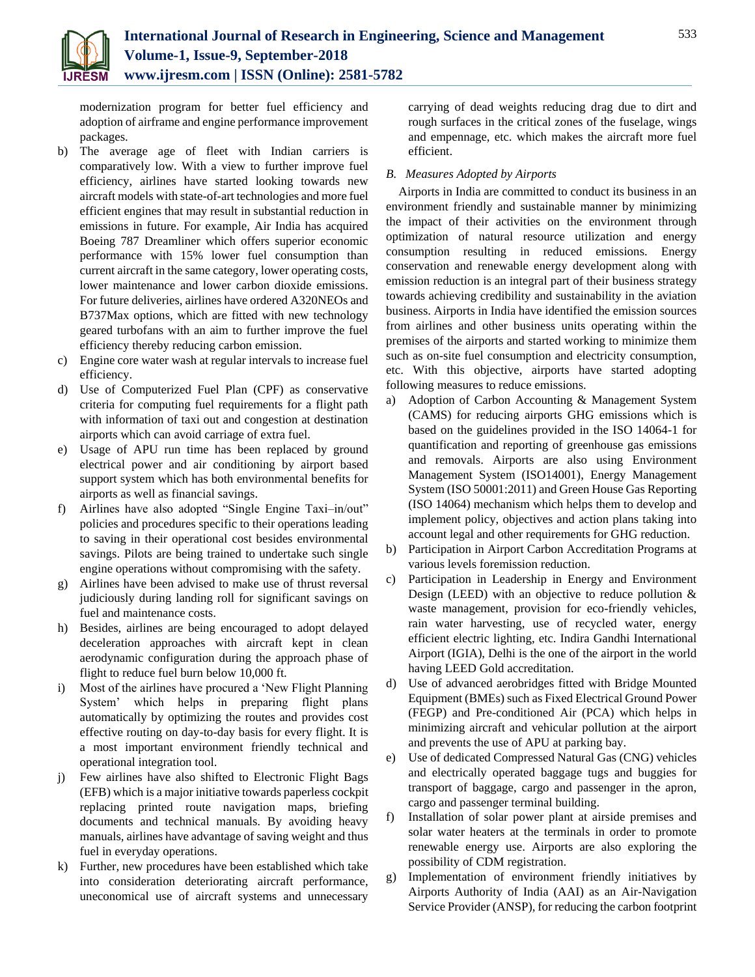

modernization program for better fuel efficiency and adoption of airframe and engine performance improvement packages.

- b) The average age of fleet with Indian carriers is comparatively low. With a view to further improve fuel efficiency, airlines have started looking towards new aircraft models with state-of-art technologies and more fuel efficient engines that may result in substantial reduction in emissions in future. For example, Air India has acquired Boeing 787 Dreamliner which offers superior economic performance with 15% lower fuel consumption than current aircraft in the same category, lower operating costs, lower maintenance and lower carbon dioxide emissions. For future deliveries, airlines have ordered A320NEOs and B737Max options, which are fitted with new technology geared turbofans with an aim to further improve the fuel efficiency thereby reducing carbon emission.
- c) Engine core water wash at regular intervals to increase fuel efficiency.
- d) Use of Computerized Fuel Plan (CPF) as conservative criteria for computing fuel requirements for a flight path with information of taxi out and congestion at destination airports which can avoid carriage of extra fuel.
- e) Usage of APU run time has been replaced by ground electrical power and air conditioning by airport based support system which has both environmental benefits for airports as well as financial savings.
- f) Airlines have also adopted "Single Engine Taxi–in/out" policies and procedures specific to their operations leading to saving in their operational cost besides environmental savings. Pilots are being trained to undertake such single engine operations without compromising with the safety.
- g) Airlines have been advised to make use of thrust reversal judiciously during landing roll for significant savings on fuel and maintenance costs.
- h) Besides, airlines are being encouraged to adopt delayed deceleration approaches with aircraft kept in clean aerodynamic configuration during the approach phase of flight to reduce fuel burn below 10,000 ft.
- i) Most of the airlines have procured a 'New Flight Planning System' which helps in preparing flight plans automatically by optimizing the routes and provides cost effective routing on day-to-day basis for every flight. It is a most important environment friendly technical and operational integration tool.
- j) Few airlines have also shifted to Electronic Flight Bags (EFB) which is a major initiative towards paperless cockpit replacing printed route navigation maps, briefing documents and technical manuals. By avoiding heavy manuals, airlines have advantage of saving weight and thus fuel in everyday operations.
- k) Further, new procedures have been established which take into consideration deteriorating aircraft performance, uneconomical use of aircraft systems and unnecessary

carrying of dead weights reducing drag due to dirt and rough surfaces in the critical zones of the fuselage, wings and empennage, etc. which makes the aircraft more fuel efficient.

# *B. Measures Adopted by Airports*

Airports in India are committed to conduct its business in an environment friendly and sustainable manner by minimizing the impact of their activities on the environment through optimization of natural resource utilization and energy consumption resulting in reduced emissions. Energy conservation and renewable energy development along with emission reduction is an integral part of their business strategy towards achieving credibility and sustainability in the aviation business. Airports in India have identified the emission sources from airlines and other business units operating within the premises of the airports and started working to minimize them such as on-site fuel consumption and electricity consumption, etc. With this objective, airports have started adopting following measures to reduce emissions.

- a) Adoption of Carbon Accounting & Management System (CAMS) for reducing airports GHG emissions which is based on the guidelines provided in the ISO 14064-1 for quantification and reporting of greenhouse gas emissions and removals. Airports are also using Environment Management System (ISO14001), Energy Management System (ISO 50001:2011) and Green House Gas Reporting (ISO 14064) mechanism which helps them to develop and implement policy, objectives and action plans taking into account legal and other requirements for GHG reduction.
- b) Participation in Airport Carbon Accreditation Programs at various levels foremission reduction.
- c) Participation in Leadership in Energy and Environment Design (LEED) with an objective to reduce pollution  $\&$ waste management, provision for eco-friendly vehicles, rain water harvesting, use of recycled water, energy efficient electric lighting, etc. Indira Gandhi International Airport (IGIA), Delhi is the one of the airport in the world having LEED Gold accreditation.
- d) Use of advanced aerobridges fitted with Bridge Mounted Equipment (BMEs) such as Fixed Electrical Ground Power (FEGP) and Pre-conditioned Air (PCA) which helps in minimizing aircraft and vehicular pollution at the airport and prevents the use of APU at parking bay.
- e) Use of dedicated Compressed Natural Gas (CNG) vehicles and electrically operated baggage tugs and buggies for transport of baggage, cargo and passenger in the apron, cargo and passenger terminal building.
- f) Installation of solar power plant at airside premises and solar water heaters at the terminals in order to promote renewable energy use. Airports are also exploring the possibility of CDM registration.
- g) Implementation of environment friendly initiatives by Airports Authority of India (AAI) as an Air-Navigation Service Provider (ANSP), for reducing the carbon footprint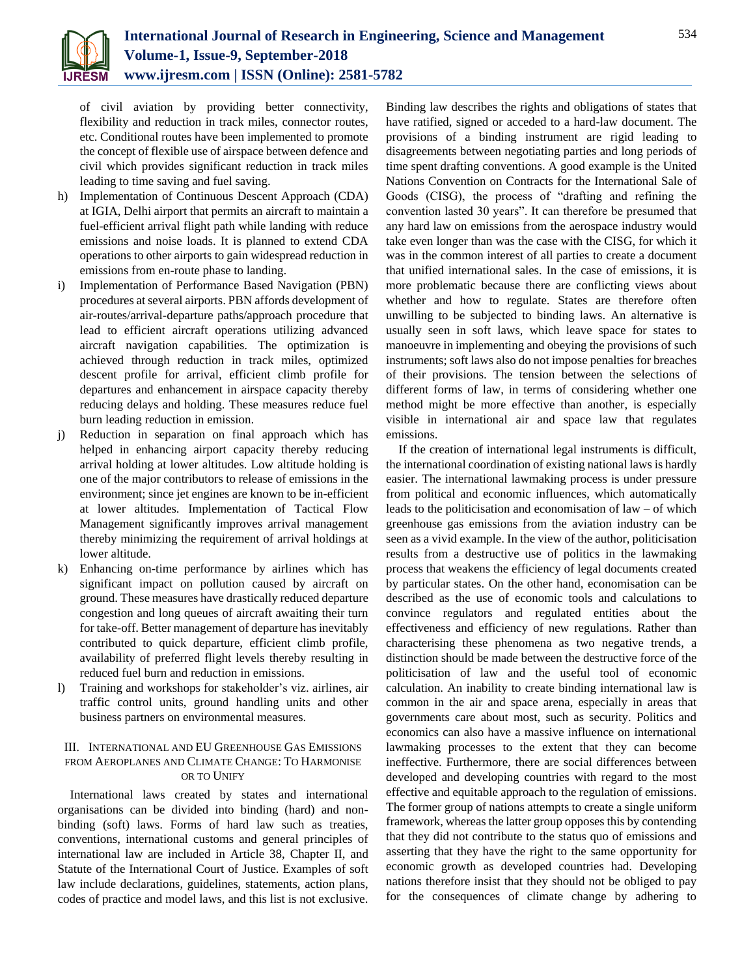

of civil aviation by providing better connectivity, flexibility and reduction in track miles, connector routes, etc. Conditional routes have been implemented to promote the concept of flexible use of airspace between defence and civil which provides significant reduction in track miles leading to time saving and fuel saving.

- h) Implementation of Continuous Descent Approach (CDA) at IGIA, Delhi airport that permits an aircraft to maintain a fuel-efficient arrival flight path while landing with reduce emissions and noise loads. It is planned to extend CDA operations to other airports to gain widespread reduction in emissions from en-route phase to landing.
- i) Implementation of Performance Based Navigation (PBN) procedures at several airports. PBN affords development of air-routes/arrival-departure paths/approach procedure that lead to efficient aircraft operations utilizing advanced aircraft navigation capabilities. The optimization is achieved through reduction in track miles, optimized descent profile for arrival, efficient climb profile for departures and enhancement in airspace capacity thereby reducing delays and holding. These measures reduce fuel burn leading reduction in emission.
- j) Reduction in separation on final approach which has helped in enhancing airport capacity thereby reducing arrival holding at lower altitudes. Low altitude holding is one of the major contributors to release of emissions in the environment; since jet engines are known to be in-efficient at lower altitudes. Implementation of Tactical Flow Management significantly improves arrival management thereby minimizing the requirement of arrival holdings at lower altitude.
- k) Enhancing on-time performance by airlines which has significant impact on pollution caused by aircraft on ground. These measures have drastically reduced departure congestion and long queues of aircraft awaiting their turn for take-off. Better management of departure has inevitably contributed to quick departure, efficient climb profile, availability of preferred flight levels thereby resulting in reduced fuel burn and reduction in emissions.
- l) Training and workshops for stakeholder's viz. airlines, air traffic control units, ground handling units and other business partners on environmental measures.

## III. INTERNATIONAL AND EU GREENHOUSE GAS EMISSIONS FROM AEROPLANES AND CLIMATE CHANGE: TO HARMONISE OR TO UNIFY

International laws created by states and international organisations can be divided into binding (hard) and nonbinding (soft) laws. Forms of hard law such as treaties, conventions, international customs and general principles of international law are included in Article 38, Chapter II, and Statute of the International Court of Justice. Examples of soft law include declarations, guidelines, statements, action plans, codes of practice and model laws, and this list is not exclusive.

Binding law describes the rights and obligations of states that have ratified, signed or acceded to a hard-law document. The provisions of a binding instrument are rigid leading to disagreements between negotiating parties and long periods of time spent drafting conventions. A good example is the United Nations Convention on Contracts for the International Sale of Goods (CISG), the process of "drafting and refining the convention lasted 30 years". It can therefore be presumed that any hard law on emissions from the aerospace industry would take even longer than was the case with the CISG, for which it was in the common interest of all parties to create a document that unified international sales. In the case of emissions, it is more problematic because there are conflicting views about whether and how to regulate. States are therefore often unwilling to be subjected to binding laws. An alternative is usually seen in soft laws, which leave space for states to manoeuvre in implementing and obeying the provisions of such instruments; soft laws also do not impose penalties for breaches of their provisions. The tension between the selections of different forms of law, in terms of considering whether one method might be more effective than another, is especially visible in international air and space law that regulates emissions.

If the creation of international legal instruments is difficult, the international coordination of existing national laws is hardly easier. The international lawmaking process is under pressure from political and economic influences, which automatically leads to the politicisation and economisation of law – of which greenhouse gas emissions from the aviation industry can be seen as a vivid example. In the view of the author, politicisation results from a destructive use of politics in the lawmaking process that weakens the efficiency of legal documents created by particular states. On the other hand, economisation can be described as the use of economic tools and calculations to convince regulators and regulated entities about the effectiveness and efficiency of new regulations. Rather than characterising these phenomena as two negative trends, a distinction should be made between the destructive force of the politicisation of law and the useful tool of economic calculation. An inability to create binding international law is common in the air and space arena, especially in areas that governments care about most, such as security. Politics and economics can also have a massive influence on international lawmaking processes to the extent that they can become ineffective. Furthermore, there are social differences between developed and developing countries with regard to the most effective and equitable approach to the regulation of emissions. The former group of nations attempts to create a single uniform framework, whereas the latter group opposes this by contending that they did not contribute to the status quo of emissions and asserting that they have the right to the same opportunity for economic growth as developed countries had. Developing nations therefore insist that they should not be obliged to pay for the consequences of climate change by adhering to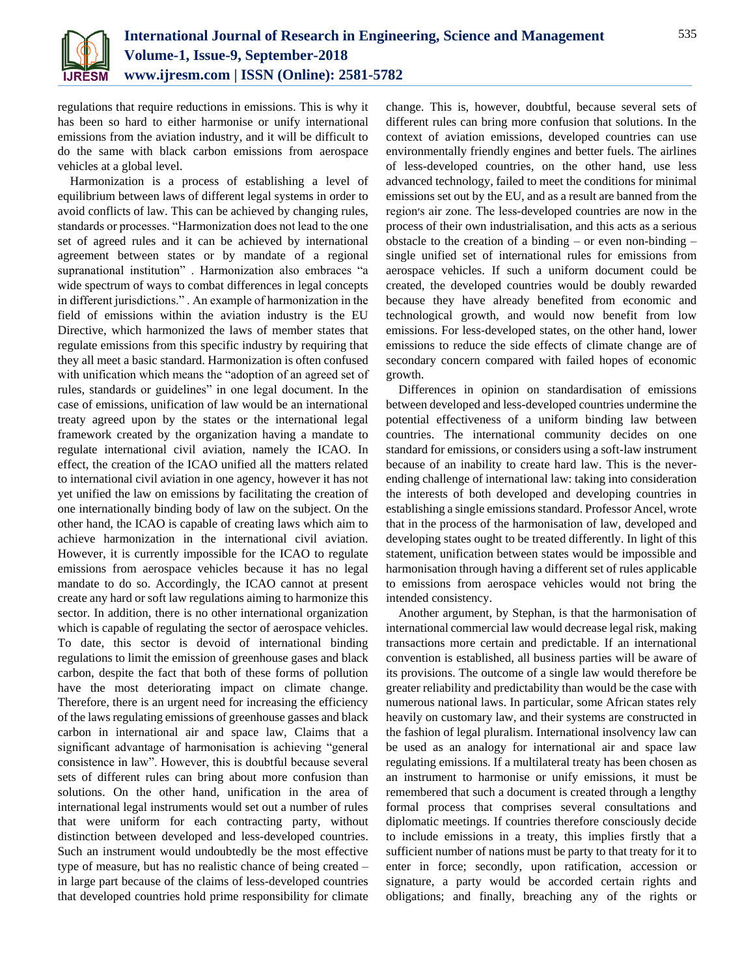

regulations that require reductions in emissions. This is why it has been so hard to either harmonise or unify international emissions from the aviation industry, and it will be difficult to do the same with black carbon emissions from aerospace vehicles at a global level.

Harmonization is a process of establishing a level of equilibrium between laws of different legal systems in order to avoid conflicts of law. This can be achieved by changing rules, standards or processes. "Harmonization does not lead to the one set of agreed rules and it can be achieved by international agreement between states or by mandate of a regional supranational institution" . Harmonization also embraces "a wide spectrum of ways to combat differences in legal concepts in different jurisdictions." . An example of harmonization in the field of emissions within the aviation industry is the EU Directive, which harmonized the laws of member states that regulate emissions from this specific industry by requiring that they all meet a basic standard. Harmonization is often confused with unification which means the "adoption of an agreed set of rules, standards or guidelines" in one legal document. In the case of emissions, unification of law would be an international treaty agreed upon by the states or the international legal framework created by the organization having a mandate to regulate international civil aviation, namely the ICAO. In effect, the creation of the ICAO unified all the matters related to international civil aviation in one agency, however it has not yet unified the law on emissions by facilitating the creation of one internationally binding body of law on the subject. On the other hand, the ICAO is capable of creating laws which aim to achieve harmonization in the international civil aviation. However, it is currently impossible for the ICAO to regulate emissions from aerospace vehicles because it has no legal mandate to do so. Accordingly, the ICAO cannot at present create any hard or soft law regulations aiming to harmonize this sector. In addition, there is no other international organization which is capable of regulating the sector of aerospace vehicles. To date, this sector is devoid of international binding regulations to limit the emission of greenhouse gases and black carbon, despite the fact that both of these forms of pollution have the most deteriorating impact on climate change. Therefore, there is an urgent need for increasing the efficiency of the laws regulating emissions of greenhouse gasses and black carbon in international air and space law, Claims that a significant advantage of harmonisation is achieving "general consistence in law". However, this is doubtful because several sets of different rules can bring about more confusion than solutions. On the other hand, unification in the area of international legal instruments would set out a number of rules that were uniform for each contracting party, without distinction between developed and less-developed countries. Such an instrument would undoubtedly be the most effective type of measure, but has no realistic chance of being created – in large part because of the claims of less-developed countries that developed countries hold prime responsibility for climate

change. This is, however, doubtful, because several sets of different rules can bring more confusion that solutions. In the context of aviation emissions, developed countries can use environmentally friendly engines and better fuels. The airlines of less-developed countries, on the other hand, use less advanced technology, failed to meet the conditions for minimal emissions set out by the EU, and as a result are banned from the region׳s air zone. The less-developed countries are now in the process of their own industrialisation, and this acts as a serious obstacle to the creation of a binding  $-$  or even non-binding  $$ single unified set of international rules for emissions from aerospace vehicles. If such a uniform document could be created, the developed countries would be doubly rewarded because they have already benefited from economic and technological growth, and would now benefit from low emissions. For less-developed states, on the other hand, lower emissions to reduce the side effects of climate change are of secondary concern compared with failed hopes of economic growth.

Differences in opinion on standardisation of emissions between developed and less-developed countries undermine the potential effectiveness of a uniform binding law between countries. The international community decides on one standard for emissions, or considers using a soft-law instrument because of an inability to create hard law. This is the neverending challenge of international law: taking into consideration the interests of both developed and developing countries in establishing a single emissions standard. Professor Ancel, wrote that in the process of the harmonisation of law, developed and developing states ought to be treated differently. In light of this statement, unification between states would be impossible and harmonisation through having a different set of rules applicable to emissions from aerospace vehicles would not bring the intended consistency.

Another argument, by Stephan, is that the harmonisation of international commercial law would decrease legal risk, making transactions more certain and predictable. If an international convention is established, all business parties will be aware of its provisions. The outcome of a single law would therefore be greater reliability and predictability than would be the case with numerous national laws. In particular, some African states rely heavily on customary law, and their systems are constructed in the fashion of legal pluralism. International insolvency law can be used as an analogy for international air and space law regulating emissions. If a multilateral treaty has been chosen as an instrument to harmonise or unify emissions, it must be remembered that such a document is created through a lengthy formal process that comprises several consultations and diplomatic meetings. If countries therefore consciously decide to include emissions in a treaty, this implies firstly that a sufficient number of nations must be party to that treaty for it to enter in force; secondly, upon ratification, accession or signature, a party would be accorded certain rights and obligations; and finally, breaching any of the rights or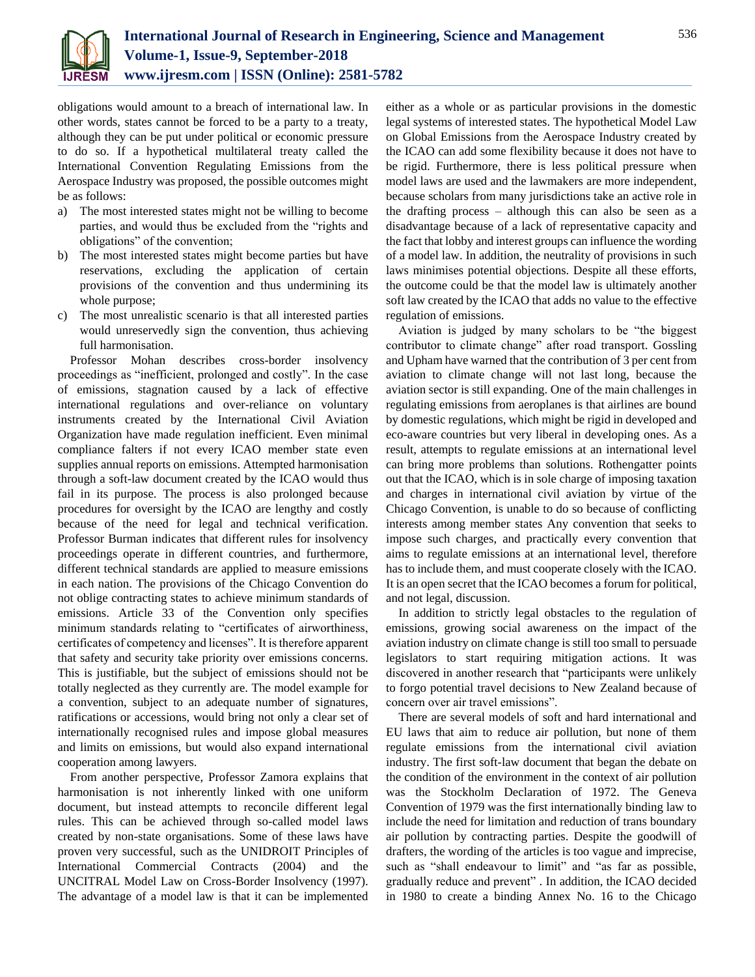

obligations would amount to a breach of international law. In other words, states cannot be forced to be a party to a treaty, although they can be put under political or economic pressure to do so. If a hypothetical multilateral treaty called the International Convention Regulating Emissions from the Aerospace Industry was proposed, the possible outcomes might be as follows:

- a) The most interested states might not be willing to become parties, and would thus be excluded from the "rights and obligations" of the convention;
- b) The most interested states might become parties but have reservations, excluding the application of certain provisions of the convention and thus undermining its whole purpose;
- c) The most unrealistic scenario is that all interested parties would unreservedly sign the convention, thus achieving full harmonisation.

Professor Mohan describes cross-border insolvency proceedings as "inefficient, prolonged and costly". In the case of emissions, stagnation caused by a lack of effective international regulations and over-reliance on voluntary instruments created by the International Civil Aviation Organization have made regulation inefficient. Even minimal compliance falters if not every ICAO member state even supplies annual reports on emissions. Attempted harmonisation through a soft-law document created by the ICAO would thus fail in its purpose. The process is also prolonged because procedures for oversight by the ICAO are lengthy and costly because of the need for legal and technical verification. Professor Burman indicates that different rules for insolvency proceedings operate in different countries, and furthermore, different technical standards are applied to measure emissions in each nation. The provisions of the Chicago Convention do not oblige contracting states to achieve minimum standards of emissions. Article 33 of the Convention only specifies minimum standards relating to "certificates of airworthiness, certificates of competency and licenses". It is therefore apparent that safety and security take priority over emissions concerns. This is justifiable, but the subject of emissions should not be totally neglected as they currently are. The model example for a convention, subject to an adequate number of signatures, ratifications or accessions, would bring not only a clear set of internationally recognised rules and impose global measures and limits on emissions, but would also expand international cooperation among lawyers.

From another perspective, Professor Zamora explains that harmonisation is not inherently linked with one uniform document, but instead attempts to reconcile different legal rules. This can be achieved through so-called model laws created by non-state organisations. Some of these laws have proven very successful, such as the UNIDROIT Principles of International Commercial Contracts (2004) and the UNCITRAL Model Law on Cross-Border Insolvency (1997). The advantage of a model law is that it can be implemented either as a whole or as particular provisions in the domestic legal systems of interested states. The hypothetical Model Law on Global Emissions from the Aerospace Industry created by the ICAO can add some flexibility because it does not have to be rigid. Furthermore, there is less political pressure when model laws are used and the lawmakers are more independent, because scholars from many jurisdictions take an active role in the drafting process – although this can also be seen as a disadvantage because of a lack of representative capacity and the fact that lobby and interest groups can influence the wording of a model law. In addition, the neutrality of provisions in such laws minimises potential objections. Despite all these efforts, the outcome could be that the model law is ultimately another soft law created by the ICAO that adds no value to the effective regulation of emissions.

Aviation is judged by many scholars to be "the biggest contributor to climate change" after road transport. Gossling and Upham have warned that the contribution of 3 per cent from aviation to climate change will not last long, because the aviation sector is still expanding. One of the main challenges in regulating emissions from aeroplanes is that airlines are bound by domestic regulations, which might be rigid in developed and eco-aware countries but very liberal in developing ones. As a result, attempts to regulate emissions at an international level can bring more problems than solutions. Rothengatter points out that the ICAO, which is in sole charge of imposing taxation and charges in international civil aviation by virtue of the Chicago Convention, is unable to do so because of conflicting interests among member states Any convention that seeks to impose such charges, and practically every convention that aims to regulate emissions at an international level, therefore has to include them, and must cooperate closely with the ICAO. It is an open secret that the ICAO becomes a forum for political, and not legal, discussion.

In addition to strictly legal obstacles to the regulation of emissions, growing social awareness on the impact of the aviation industry on climate change is still too small to persuade legislators to start requiring mitigation actions. It was discovered in another research that "participants were unlikely to forgo potential travel decisions to New Zealand because of concern over air travel emissions".

There are several models of soft and hard international and EU laws that aim to reduce air pollution, but none of them regulate emissions from the international civil aviation industry. The first soft-law document that began the debate on the condition of the environment in the context of air pollution was the Stockholm Declaration of 1972. The Geneva Convention of 1979 was the first internationally binding law to include the need for limitation and reduction of trans boundary air pollution by contracting parties. Despite the goodwill of drafters, the wording of the articles is too vague and imprecise, such as "shall endeavour to limit" and "as far as possible, gradually reduce and prevent" . In addition, the ICAO decided in 1980 to create a binding Annex No. 16 to the Chicago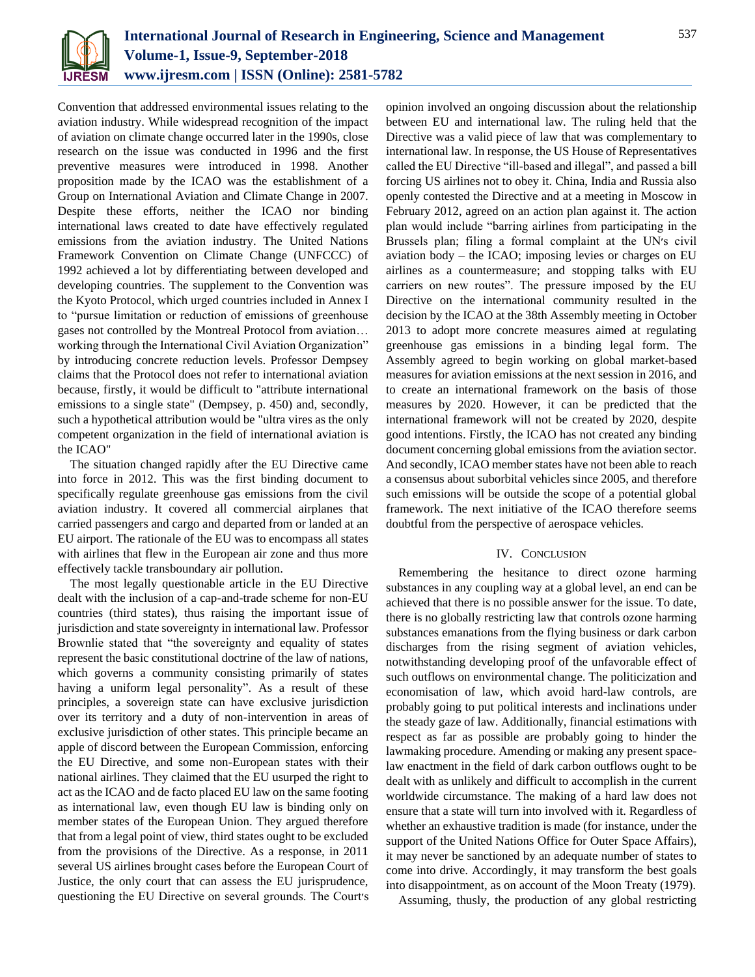

Convention that addressed environmental issues relating to the aviation industry. While widespread recognition of the impact of aviation on climate change occurred later in the 1990s, close research on the issue was conducted in 1996 and the first preventive measures were introduced in 1998. Another proposition made by the ICAO was the establishment of a Group on International Aviation and Climate Change in 2007. Despite these efforts, neither the ICAO nor binding international laws created to date have effectively regulated emissions from the aviation industry. The United Nations Framework Convention on Climate Change (UNFCCC) of 1992 achieved a lot by differentiating between developed and developing countries. The supplement to the Convention was the Kyoto Protocol, which urged countries included in Annex I to "pursue limitation or reduction of emissions of greenhouse gases not controlled by the Montreal Protocol from aviation… working through the International Civil Aviation Organization" by introducing concrete reduction levels. Professor Dempsey claims that the Protocol does not refer to international aviation because, firstly, it would be difficult to "attribute international emissions to a single state" (Dempsey, p. 450) and, secondly, such a hypothetical attribution would be "ultra vires as the only competent organization in the field of international aviation is the ICAO"

The situation changed rapidly after the EU Directive came into force in 2012. This was the first binding document to specifically regulate greenhouse gas emissions from the civil aviation industry. It covered all commercial airplanes that carried passengers and cargo and departed from or landed at an EU airport. The rationale of the EU was to encompass all states with airlines that flew in the European air zone and thus more effectively tackle transboundary air pollution.

The most legally questionable article in the EU Directive dealt with the inclusion of a cap-and-trade scheme for non-EU countries (third states), thus raising the important issue of jurisdiction and state sovereignty in international law. Professor Brownlie stated that "the sovereignty and equality of states represent the basic constitutional doctrine of the law of nations, which governs a community consisting primarily of states having a uniform legal personality". As a result of these principles, a sovereign state can have exclusive jurisdiction over its territory and a duty of non-intervention in areas of exclusive jurisdiction of other states. This principle became an apple of discord between the European Commission, enforcing the EU Directive, and some non-European states with their national airlines. They claimed that the EU usurped the right to act as the ICAO and de facto placed EU law on the same footing as international law, even though EU law is binding only on member states of the European Union. They argued therefore that from a legal point of view, third states ought to be excluded from the provisions of the Directive. As a response, in 2011 several US airlines brought cases before the European Court of Justice, the only court that can assess the EU jurisprudence, questioning the EU Directive on several grounds. The Court׳s opinion involved an ongoing discussion about the relationship between EU and international law. The ruling held that the Directive was a valid piece of law that was complementary to international law. In response, the US House of Representatives called the EU Directive "ill-based and illegal", and passed a bill forcing US airlines not to obey it. China, India and Russia also openly contested the Directive and at a meeting in Moscow in February 2012, agreed on an action plan against it. The action plan would include "barring airlines from participating in the Brussels plan; filing a formal complaint at the UN׳s civil aviation body – the ICAO; imposing levies or charges on EU airlines as a countermeasure; and stopping talks with EU carriers on new routes". The pressure imposed by the EU Directive on the international community resulted in the decision by the ICAO at the 38th Assembly meeting in October 2013 to adopt more concrete measures aimed at regulating greenhouse gas emissions in a binding legal form. The Assembly agreed to begin working on global market-based measures for aviation emissions at the next session in 2016, and to create an international framework on the basis of those measures by 2020. However, it can be predicted that the international framework will not be created by 2020, despite good intentions. Firstly, the ICAO has not created any binding document concerning global emissions from the aviation sector. And secondly, ICAO member states have not been able to reach a consensus about suborbital vehicles since 2005, and therefore such emissions will be outside the scope of a potential global framework. The next initiative of the ICAO therefore seems doubtful from the perspective of aerospace vehicles.

#### IV. CONCLUSION

Remembering the hesitance to direct ozone harming substances in any coupling way at a global level, an end can be achieved that there is no possible answer for the issue. To date, there is no globally restricting law that controls ozone harming substances emanations from the flying business or dark carbon discharges from the rising segment of aviation vehicles, notwithstanding developing proof of the unfavorable effect of such outflows on environmental change. The politicization and economisation of law, which avoid hard-law controls, are probably going to put political interests and inclinations under the steady gaze of law. Additionally, financial estimations with respect as far as possible are probably going to hinder the lawmaking procedure. Amending or making any present spacelaw enactment in the field of dark carbon outflows ought to be dealt with as unlikely and difficult to accomplish in the current worldwide circumstance. The making of a hard law does not ensure that a state will turn into involved with it. Regardless of whether an exhaustive tradition is made (for instance, under the support of the United Nations Office for Outer Space Affairs), it may never be sanctioned by an adequate number of states to come into drive. Accordingly, it may transform the best goals into disappointment, as on account of the Moon Treaty (1979).

Assuming, thusly, the production of any global restricting